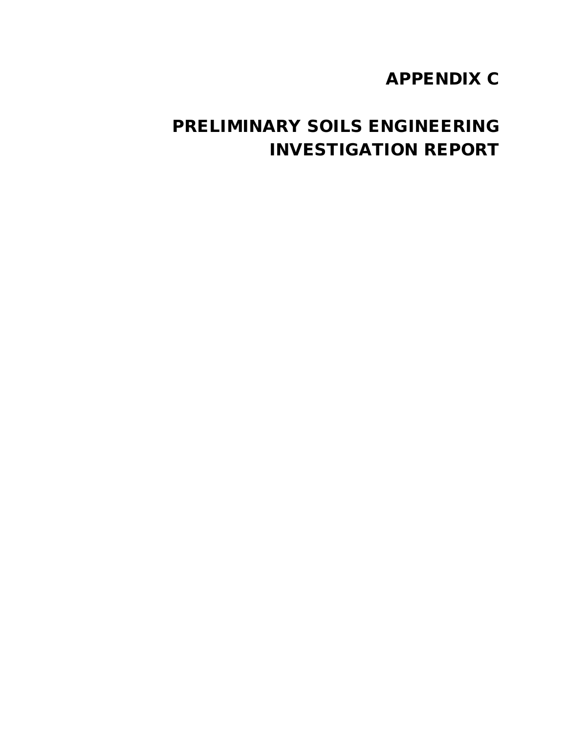# APPENDIX C

# PRELIMINARY SOILS ENGINEERING INVESTIGATION REPORT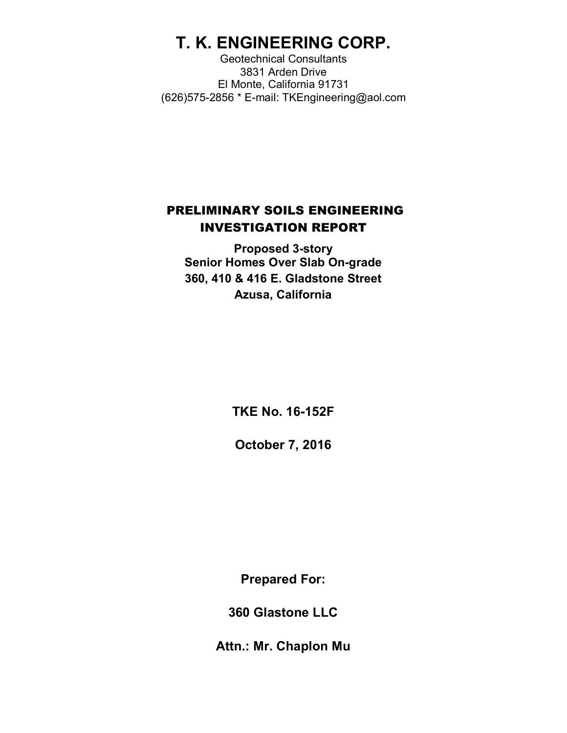# **T. K. ENGINEERING CORP.**

Geotechnical Consultants 3831 Arden Drive El Monte, California 91731 (626)575-2856 \* E-mail: TKEngineering@aol.com

# PRELIMINARY SOILS ENGINEERING INVESTIGATION REPORT

**Proposed 3-story Senior Homes Over Slab On-grade 360, 410 & 416 E. Gladstone Street Azusa, California**

**TKE No. 16-152F**

**October 7, 2016**

**Prepared For:**

**360 Glastone LLC**

**Attn.: Mr. Chaplon Mu**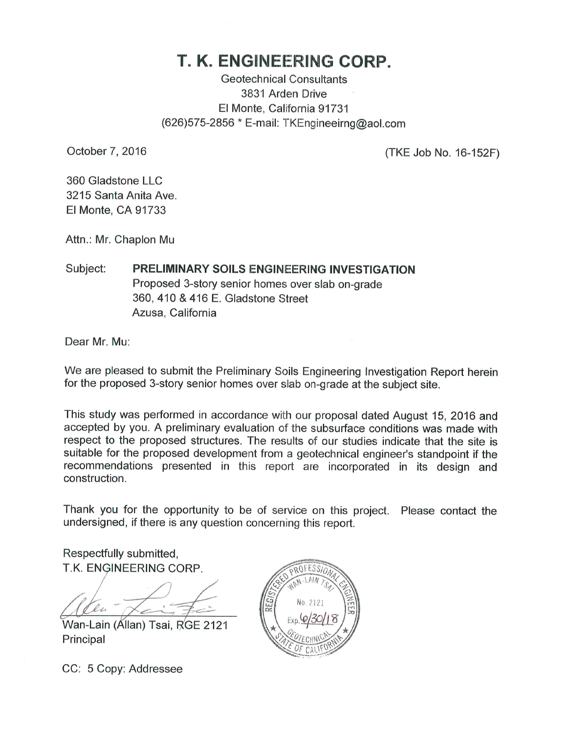# T. K. ENGINEERING CORP.

**Geotechnical Consultants** 3831 Arden Drive El Monte, California 91731 (626) 575-2856 \* E-mail: TKEngineeirng@aol.com

October 7, 2016

(TKE Job No. 16-152F)

360 Gladstone LLC 3215 Santa Anita Ave El Monte, CA 91733

Attn.: Mr. Chaplon Mu

PRELIMINARY SOILS ENGINEERING INVESTIGATION Subject: Proposed 3-story senior homes over slab on-grade 360, 410 & 416 E. Gladstone Street Azusa, California

Dear Mr. Mu:

We are pleased to submit the Preliminary Soils Engineering Investigation Report herein for the proposed 3-story senior homes over slab on-grade at the subject site.

This study was performed in accordance with our proposal dated August 15, 2016 and accepted by you. A preliminary evaluation of the subsurface conditions was made with respect to the proposed structures. The results of our studies indicate that the site is suitable for the proposed development from a geotechnical engineer's standpoint if the recommendations presented in this report are incorporated in its design and construction.

Thank you for the opportunity to be of service on this project. Please contact the undersigned, if there is any question concerning this report.

Respectfully submitted, T.K. ENGINEERING CORP.

lu

Wan-Lain (Állan) Tsai, RGE 2121 Principal

CC: 5 Copy: Addressee

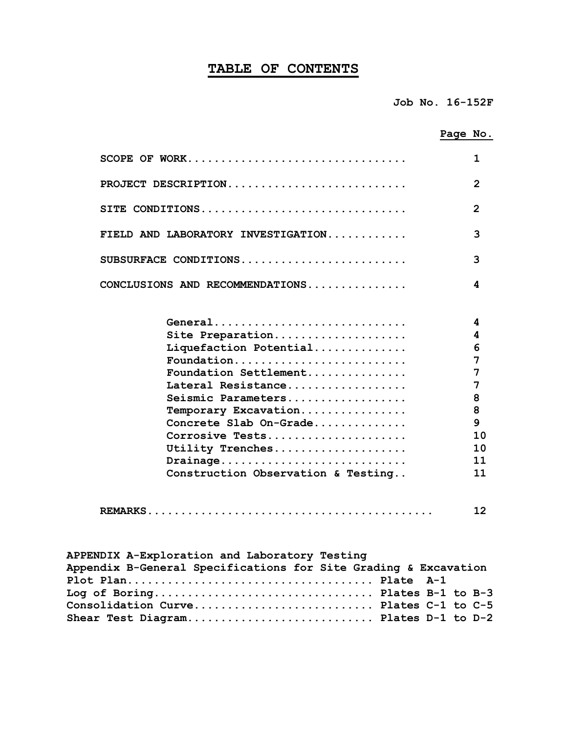### **TABLE OF CONTENTS**

|                                    | Page No.       |
|------------------------------------|----------------|
| SCOPE OF WORK                      | 1              |
| PROJECT DESCRIPTION                | $\overline{2}$ |
| SITE CONDITIONS                    | $\mathbf{z}$   |
| FIELD AND LABORATORY INVESTIGATION | 3              |
| SUBSURFACE CONDITIONS              | 3              |
| CONCLUSIONS AND RECOMMENDATIONS    | 4              |
| General                            | 4              |
| Site Preparation                   | 4              |
| Liquefaction Potential             | 6              |
| Foundation                         | 7              |
| Foundation Settlement              | 7              |
| Lateral Resistance                 | 7              |
| Seismic Parameters                 | 8              |
| Temporary Excavation               | 8              |
| Concrete Slab On-Grade             | 9              |
| Corrosive Tests                    | 10             |
| Utility Trenches                   | 10             |
| Drainage                           | 11             |
| Construction Observation & Testing | 11             |
|                                    | 12             |

| APPENDIX A-Exploration and Laboratory Testing                   |  |
|-----------------------------------------------------------------|--|
| Appendix B-General Specifications for Site Grading & Excavation |  |
|                                                                 |  |
| Log of Boring Plates B-1 to B-3                                 |  |
| Consolidation Curve Plates C-1 to C-5                           |  |
| Shear Test Diagram Plates D-1 to D-2                            |  |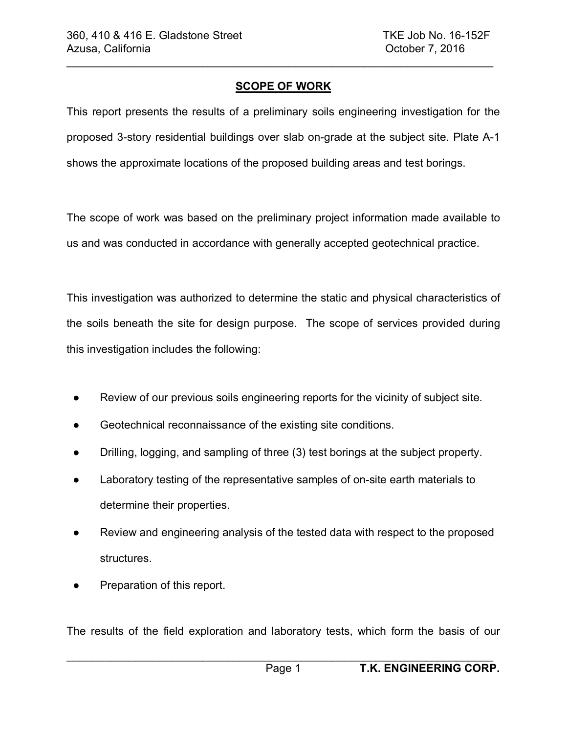### **SCOPE OF WORK**

 $\_$ 

This report presents the results of a preliminary soils engineering investigation for the proposed 3-story residential buildings over slab on-grade at the subject site. Plate A-1 shows the approximate locations of the proposed building areas and test borings.

The scope of work was based on the preliminary project information made available to us and was conducted in accordance with generally accepted geotechnical practice.

This investigation was authorized to determine the static and physical characteristics of the soils beneath the site for design purpose. The scope of services provided during this investigation includes the following:

- Review of our previous soils engineering reports for the vicinity of subject site.
- Geotechnical reconnaissance of the existing site conditions.
- Drilling, logging, and sampling of three (3) test borings at the subject property.
- Laboratory testing of the representative samples of on-site earth materials to determine their properties.
- Review and engineering analysis of the tested data with respect to the proposed structures.
- Preparation of this report.

The results of the field exploration and laboratory tests, which form the basis of our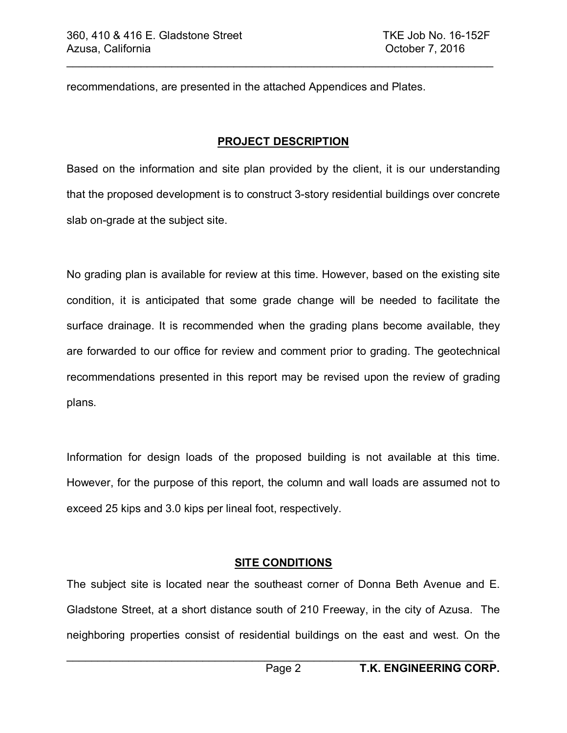recommendations, are presented in the attached Appendices and Plates.

### **PROJECT DESCRIPTION**

 $\mathcal{L}_\text{max} = \mathcal{L}_\text{max} = \mathcal{L}_\text{max} = \mathcal{L}_\text{max} = \mathcal{L}_\text{max} = \mathcal{L}_\text{max} = \mathcal{L}_\text{max} = \mathcal{L}_\text{max} = \mathcal{L}_\text{max} = \mathcal{L}_\text{max} = \mathcal{L}_\text{max} = \mathcal{L}_\text{max} = \mathcal{L}_\text{max} = \mathcal{L}_\text{max} = \mathcal{L}_\text{max} = \mathcal{L}_\text{max} = \mathcal{L}_\text{max} = \mathcal{L}_\text{max} = \mathcal{$ 

Based on the information and site plan provided by the client, it is our understanding that the proposed development is to construct 3-story residential buildings over concrete slab on-grade at the subject site.

No grading plan is available for review at this time. However, based on the existing site condition, it is anticipated that some grade change will be needed to facilitate the surface drainage. It is recommended when the grading plans become available, they are forwarded to our office for review and comment prior to grading. The geotechnical recommendations presented in this report may be revised upon the review of grading plans.

Information for design loads of the proposed building is not available at this time. However, for the purpose of this report, the column and wall loads are assumed not to exceed 25 kips and 3.0 kips per lineal foot, respectively.

# **SITE CONDITIONS**

The subject site is located near the southeast corner of Donna Beth Avenue and E. Gladstone Street, at a short distance south of 210 Freeway, in the city of Azusa. The neighboring properties consist of residential buildings on the east and west. On the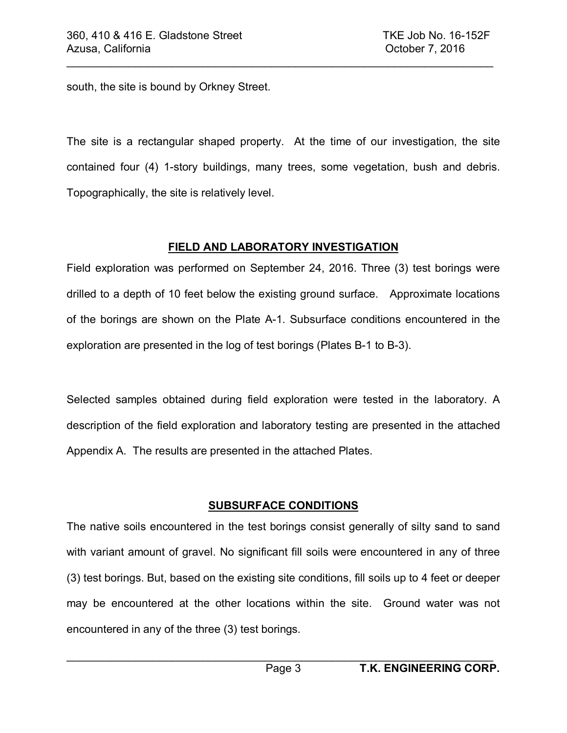south, the site is bound by Orkney Street.

The site is a rectangular shaped property. At the time of our investigation, the site contained four (4) 1-story buildings, many trees, some vegetation, bush and debris. Topographically, the site is relatively level.

 $\_$ 

### **FIELD AND LABORATORY INVESTIGATION**

Field exploration was performed on September 24, 2016. Three (3) test borings were drilled to a depth of 10 feet below the existing ground surface. Approximate locations of the borings are shown on the Plate A-1. Subsurface conditions encountered in the exploration are presented in the log of test borings (Plates B-1 to B-3).

Selected samples obtained during field exploration were tested in the laboratory. A description of the field exploration and laboratory testing are presented in the attached Appendix A. The results are presented in the attached Plates.

# **SUBSURFACE CONDITIONS**

The native soils encountered in the test borings consist generally of silty sand to sand with variant amount of gravel. No significant fill soils were encountered in any of three (3) test borings. But, based on the existing site conditions, fill soils up to 4 feet or deeper may be encountered at the other locations within the site. Ground water was not encountered in any of the three (3) test borings.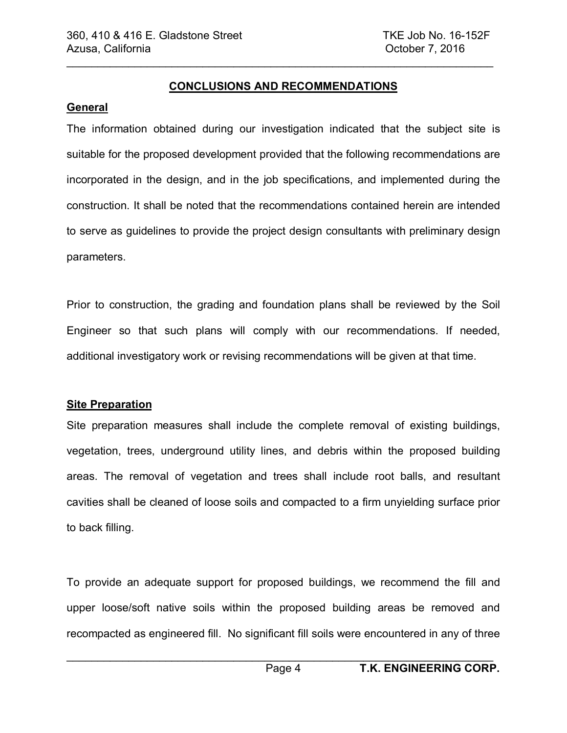#### **CONCLUSIONS AND RECOMMENDATIONS**

 $\mathcal{L}_\text{max} = \mathcal{L}_\text{max} = \mathcal{L}_\text{max} = \mathcal{L}_\text{max} = \mathcal{L}_\text{max} = \mathcal{L}_\text{max} = \mathcal{L}_\text{max} = \mathcal{L}_\text{max} = \mathcal{L}_\text{max} = \mathcal{L}_\text{max} = \mathcal{L}_\text{max} = \mathcal{L}_\text{max} = \mathcal{L}_\text{max} = \mathcal{L}_\text{max} = \mathcal{L}_\text{max} = \mathcal{L}_\text{max} = \mathcal{L}_\text{max} = \mathcal{L}_\text{max} = \mathcal{$ 

#### **General**

The information obtained during our investigation indicated that the subject site is suitable for the proposed development provided that the following recommendations are incorporated in the design, and in the job specifications, and implemented during the construction. It shall be noted that the recommendations contained herein are intended to serve as guidelines to provide the project design consultants with preliminary design parameters.

Prior to construction, the grading and foundation plans shall be reviewed by the Soil Engineer so that such plans will comply with our recommendations. If needed, additional investigatory work or revising recommendations will be given at that time.

#### **Site Preparation**

Site preparation measures shall include the complete removal of existing buildings, vegetation, trees, underground utility lines, and debris within the proposed building areas. The removal of vegetation and trees shall include root balls, and resultant cavities shall be cleaned of loose soils and compacted to a firm unyielding surface prior to back filling.

To provide an adequate support for proposed buildings, we recommend the fill and upper loose/soft native soils within the proposed building areas be removed and recompacted as engineered fill. No significant fill soils were encountered in any of three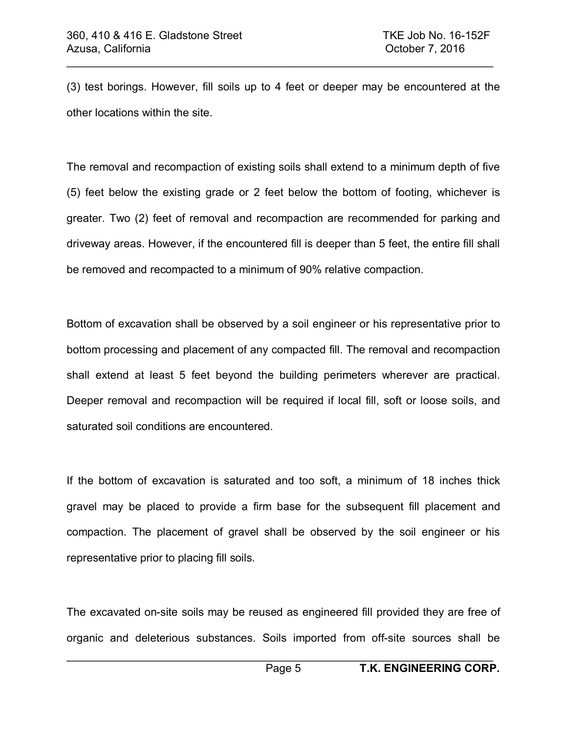(3) test borings. However, fill soils up to 4 feet or deeper may be encountered at the other locations within the site.

 $\_$ 

The removal and recompaction of existing soils shall extend to a minimum depth of five (5) feet below the existing grade or 2 feet below the bottom of footing, whichever is greater. Two (2) feet of removal and recompaction are recommended for parking and driveway areas. However, if the encountered fill is deeper than 5 feet, the entire fill shall be removed and recompacted to a minimum of 90% relative compaction.

Bottom of excavation shall be observed by a soil engineer or his representative prior to bottom processing and placement of any compacted fill. The removal and recompaction shall extend at least 5 feet beyond the building perimeters wherever are practical. Deeper removal and recompaction will be required if local fill, soft or loose soils, and saturated soil conditions are encountered.

If the bottom of excavation is saturated and too soft, a minimum of 18 inches thick gravel may be placed to provide a firm base for the subsequent fill placement and compaction. The placement of gravel shall be observed by the soil engineer or his representative prior to placing fill soils.

The excavated on-site soils may be reused as engineered fill provided they are free of organic and deleterious substances. Soils imported from off-site sources shall be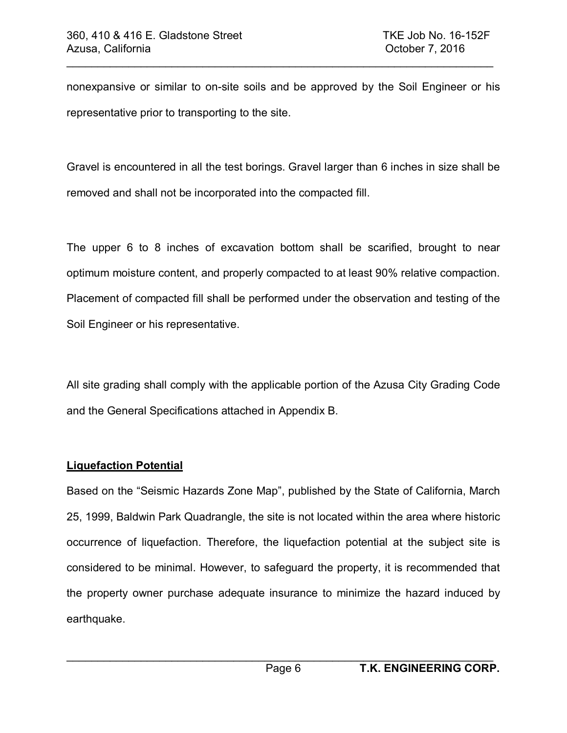nonexpansive or similar to on-site soils and be approved by the Soil Engineer or his representative prior to transporting to the site.

 $\mathcal{L}_\text{max} = \mathcal{L}_\text{max} = \mathcal{L}_\text{max} = \mathcal{L}_\text{max} = \mathcal{L}_\text{max} = \mathcal{L}_\text{max} = \mathcal{L}_\text{max} = \mathcal{L}_\text{max} = \mathcal{L}_\text{max} = \mathcal{L}_\text{max} = \mathcal{L}_\text{max} = \mathcal{L}_\text{max} = \mathcal{L}_\text{max} = \mathcal{L}_\text{max} = \mathcal{L}_\text{max} = \mathcal{L}_\text{max} = \mathcal{L}_\text{max} = \mathcal{L}_\text{max} = \mathcal{$ 

Gravel is encountered in all the test borings. Gravel larger than 6 inches in size shall be removed and shall not be incorporated into the compacted fill.

The upper 6 to 8 inches of excavation bottom shall be scarified, brought to near optimum moisture content, and properly compacted to at least 90% relative compaction. Placement of compacted fill shall be performed under the observation and testing of the Soil Engineer or his representative.

All site grading shall comply with the applicable portion of the Azusa City Grading Code and the General Specifications attached in Appendix B.

# **Liquefaction Potential**

Based on the "Seismic Hazards Zone Map", published by the State of California, March 25, 1999, Baldwin Park Quadrangle, the site is not located within the area where historic occurrence of liquefaction. Therefore, the liquefaction potential at the subject site is considered to be minimal. However, to safeguard the property, it is recommended that the property owner purchase adequate insurance to minimize the hazard induced by earthquake.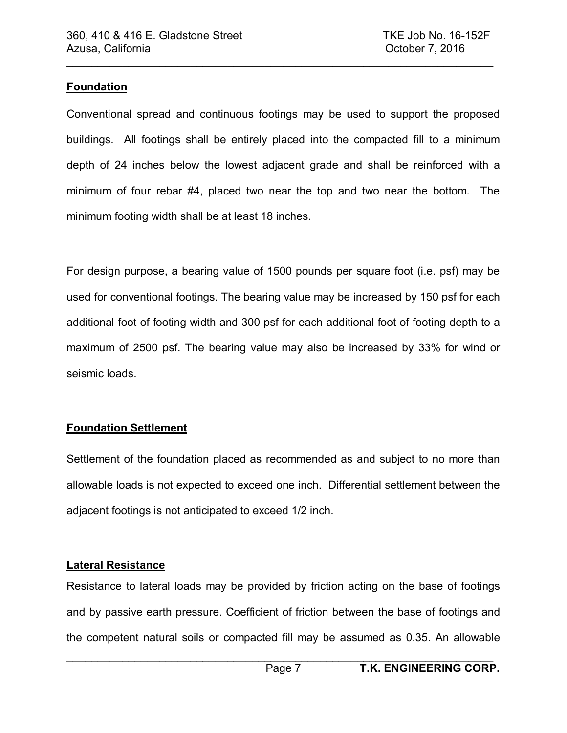### **Foundation**

Conventional spread and continuous footings may be used to support the proposed buildings. All footings shall be entirely placed into the compacted fill to a minimum depth of 24 inches below the lowest adjacent grade and shall be reinforced with a minimum of four rebar #4, placed two near the top and two near the bottom. The minimum footing width shall be at least 18 inches.

 $\_$ 

For design purpose, a bearing value of 1500 pounds per square foot (i.e. psf) may be used for conventional footings. The bearing value may be increased by 150 psf for each additional foot of footing width and 300 psf for each additional foot of footing depth to a maximum of 2500 psf. The bearing value may also be increased by 33% for wind or seismic loads.

# **Foundation Settlement**

Settlement of the foundation placed as recommended as and subject to no more than allowable loads is not expected to exceed one inch. Differential settlement between the adjacent footings is not anticipated to exceed 1/2 inch.

#### **Lateral Resistance**

Resistance to lateral loads may be provided by friction acting on the base of footings and by passive earth pressure. Coefficient of friction between the base of footings and the competent natural soils or compacted fill may be assumed as 0.35. An allowable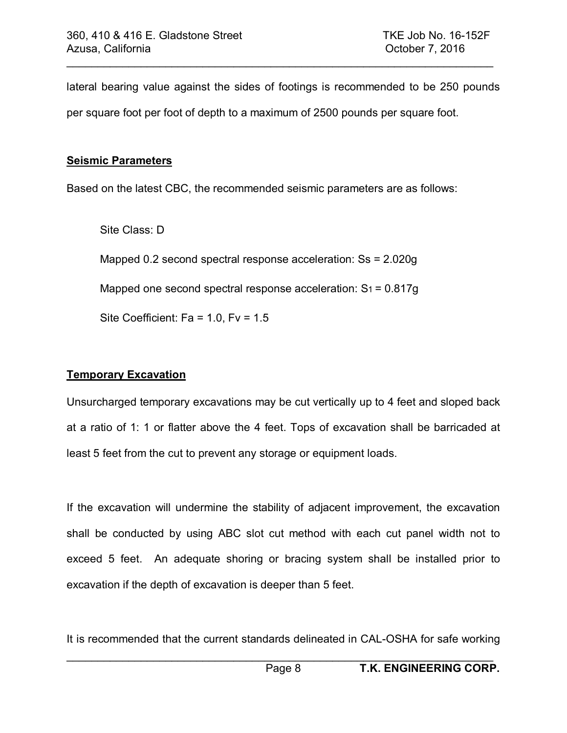lateral bearing value against the sides of footings is recommended to be 250 pounds per square foot per foot of depth to a maximum of 2500 pounds per square foot.

 $\mathcal{L}_\text{max} = \mathcal{L}_\text{max} = \mathcal{L}_\text{max} = \mathcal{L}_\text{max} = \mathcal{L}_\text{max} = \mathcal{L}_\text{max} = \mathcal{L}_\text{max} = \mathcal{L}_\text{max} = \mathcal{L}_\text{max} = \mathcal{L}_\text{max} = \mathcal{L}_\text{max} = \mathcal{L}_\text{max} = \mathcal{L}_\text{max} = \mathcal{L}_\text{max} = \mathcal{L}_\text{max} = \mathcal{L}_\text{max} = \mathcal{L}_\text{max} = \mathcal{L}_\text{max} = \mathcal{$ 

#### **Seismic Parameters**

Based on the latest CBC, the recommended seismic parameters are as follows:

Site Class: D Mapped 0.2 second spectral response acceleration: Ss = 2.020g Mapped one second spectral response acceleration:  $S_1 = 0.817g$ Site Coefficient:  $Fa = 1.0$ ,  $Fv = 1.5$ 

# **Temporary Excavation**

Unsurcharged temporary excavations may be cut vertically up to 4 feet and sloped back at a ratio of 1: 1 or flatter above the 4 feet. Tops of excavation shall be barricaded at least 5 feet from the cut to prevent any storage or equipment loads.

If the excavation will undermine the stability of adjacent improvement, the excavation shall be conducted by using ABC slot cut method with each cut panel width not to exceed 5 feet. An adequate shoring or bracing system shall be installed prior to excavation if the depth of excavation is deeper than 5 feet.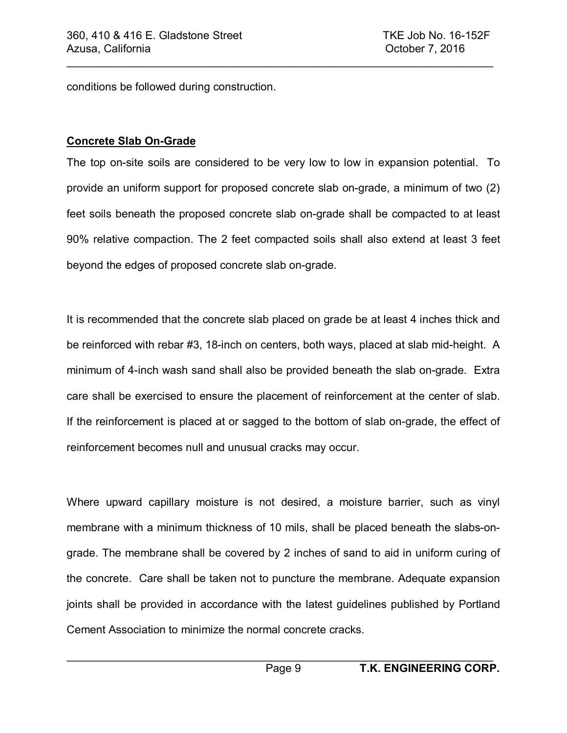conditions be followed during construction.

### **Concrete Slab On-Grade**

The top on-site soils are considered to be very low to low in expansion potential. To provide an uniform support for proposed concrete slab on-grade, a minimum of two (2) feet soils beneath the proposed concrete slab on-grade shall be compacted to at least 90% relative compaction. The 2 feet compacted soils shall also extend at least 3 feet beyond the edges of proposed concrete slab on-grade.

 $\_$ 

It is recommended that the concrete slab placed on grade be at least 4 inches thick and be reinforced with rebar #3, 18-inch on centers, both ways, placed at slab mid-height. A minimum of 4-inch wash sand shall also be provided beneath the slab on-grade. Extra care shall be exercised to ensure the placement of reinforcement at the center of slab. If the reinforcement is placed at or sagged to the bottom of slab on-grade, the effect of reinforcement becomes null and unusual cracks may occur.

Where upward capillary moisture is not desired, a moisture barrier, such as vinyl membrane with a minimum thickness of 10 mils, shall be placed beneath the slabs-ongrade. The membrane shall be covered by 2 inches of sand to aid in uniform curing of the concrete. Care shall be taken not to puncture the membrane. Adequate expansion joints shall be provided in accordance with the latest guidelines published by Portland Cement Association to minimize the normal concrete cracks.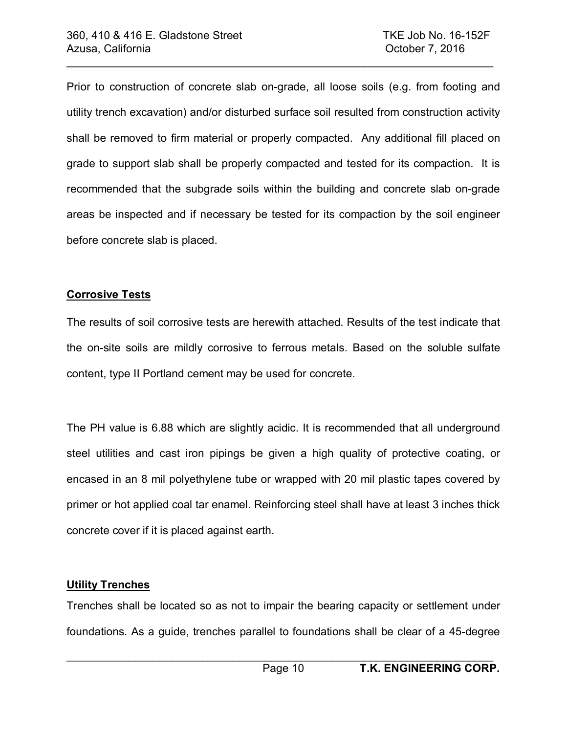Prior to construction of concrete slab on-grade, all loose soils (e.g. from footing and utility trench excavation) and/or disturbed surface soil resulted from construction activity shall be removed to firm material or properly compacted. Any additional fill placed on grade to support slab shall be properly compacted and tested for its compaction. It is recommended that the subgrade soils within the building and concrete slab on-grade areas be inspected and if necessary be tested for its compaction by the soil engineer before concrete slab is placed.

 $\mathcal{L}_\text{max} = \mathcal{L}_\text{max} = \mathcal{L}_\text{max} = \mathcal{L}_\text{max} = \mathcal{L}_\text{max} = \mathcal{L}_\text{max} = \mathcal{L}_\text{max} = \mathcal{L}_\text{max} = \mathcal{L}_\text{max} = \mathcal{L}_\text{max} = \mathcal{L}_\text{max} = \mathcal{L}_\text{max} = \mathcal{L}_\text{max} = \mathcal{L}_\text{max} = \mathcal{L}_\text{max} = \mathcal{L}_\text{max} = \mathcal{L}_\text{max} = \mathcal{L}_\text{max} = \mathcal{$ 

#### **Corrosive Tests**

The results of soil corrosive tests are herewith attached. Results of the test indicate that the on-site soils are mildly corrosive to ferrous metals. Based on the soluble sulfate content, type II Portland cement may be used for concrete.

The PH value is 6.88 which are slightly acidic. It is recommended that all underground steel utilities and cast iron pipings be given a high quality of protective coating, or encased in an 8 mil polyethylene tube or wrapped with 20 mil plastic tapes covered by primer or hot applied coal tar enamel. Reinforcing steel shall have at least 3 inches thick concrete cover if it is placed against earth.

#### **Utility Trenches**

Trenches shall be located so as not to impair the bearing capacity or settlement under foundations. As a guide, trenches parallel to foundations shall be clear of a 45-degree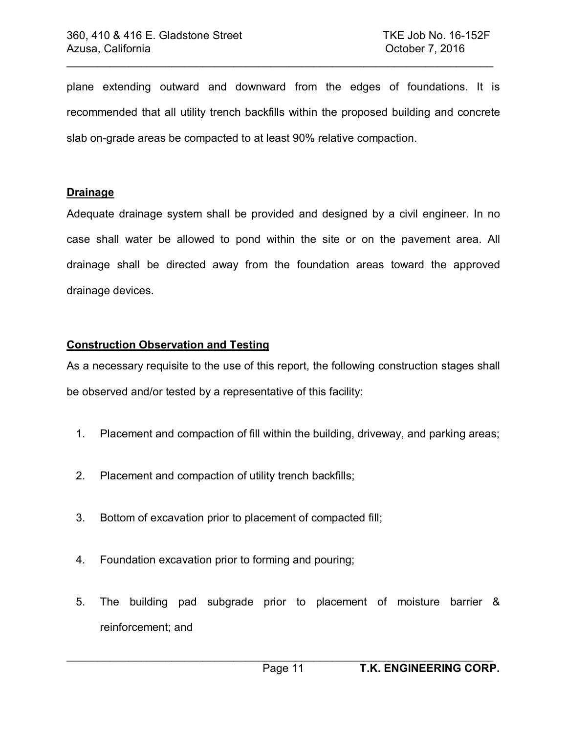plane extending outward and downward from the edges of foundations. It is recommended that all utility trench backfills within the proposed building and concrete slab on-grade areas be compacted to at least 90% relative compaction.

 $\_$ 

#### **Drainage**

Adequate drainage system shall be provided and designed by a civil engineer. In no case shall water be allowed to pond within the site or on the pavement area. All drainage shall be directed away from the foundation areas toward the approved drainage devices.

#### **Construction Observation and Testing**

As a necessary requisite to the use of this report, the following construction stages shall be observed and/or tested by a representative of this facility:

- 1. Placement and compaction of fill within the building, driveway, and parking areas;
- 2. Placement and compaction of utility trench backfills;
- 3. Bottom of excavation prior to placement of compacted fill;
- 4. Foundation excavation prior to forming and pouring;
- 5. The building pad subgrade prior to placement of moisture barrier & reinforcement; and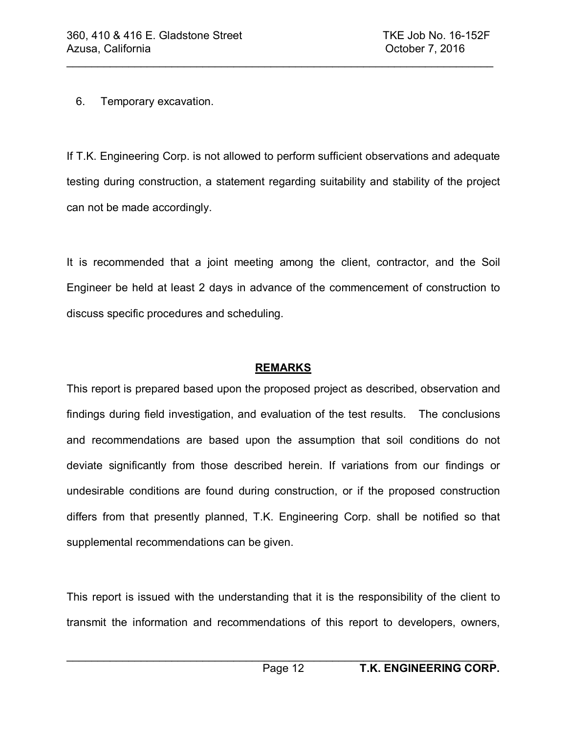6. Temporary excavation.

If T.K. Engineering Corp. is not allowed to perform sufficient observations and adequate testing during construction, a statement regarding suitability and stability of the project can not be made accordingly.

 $\mathcal{L}_\text{max} = \mathcal{L}_\text{max} = \mathcal{L}_\text{max} = \mathcal{L}_\text{max} = \mathcal{L}_\text{max} = \mathcal{L}_\text{max} = \mathcal{L}_\text{max} = \mathcal{L}_\text{max} = \mathcal{L}_\text{max} = \mathcal{L}_\text{max} = \mathcal{L}_\text{max} = \mathcal{L}_\text{max} = \mathcal{L}_\text{max} = \mathcal{L}_\text{max} = \mathcal{L}_\text{max} = \mathcal{L}_\text{max} = \mathcal{L}_\text{max} = \mathcal{L}_\text{max} = \mathcal{$ 

It is recommended that a joint meeting among the client, contractor, and the Soil Engineer be held at least 2 days in advance of the commencement of construction to discuss specific procedures and scheduling.

# **REMARKS**

This report is prepared based upon the proposed project as described, observation and findings during field investigation, and evaluation of the test results. The conclusions and recommendations are based upon the assumption that soil conditions do not deviate significantly from those described herein. If variations from our findings or undesirable conditions are found during construction, or if the proposed construction differs from that presently planned, T.K. Engineering Corp. shall be notified so that supplemental recommendations can be given.

This report is issued with the understanding that it is the responsibility of the client to transmit the information and recommendations of this report to developers, owners,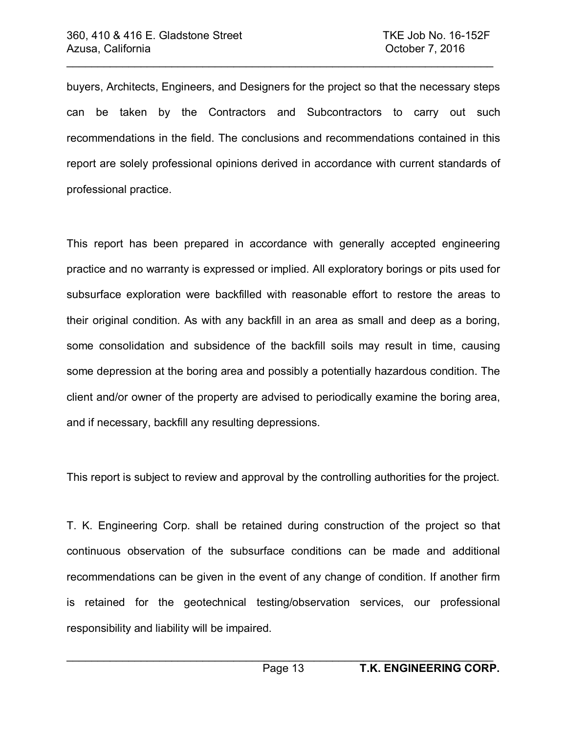buyers, Architects, Engineers, and Designers for the project so that the necessary steps can be taken by the Contractors and Subcontractors to carry out such recommendations in the field. The conclusions and recommendations contained in this report are solely professional opinions derived in accordance with current standards of professional practice.

 $\_$ 

This report has been prepared in accordance with generally accepted engineering practice and no warranty is expressed or implied. All exploratory borings or pits used for subsurface exploration were backfilled with reasonable effort to restore the areas to their original condition. As with any backfill in an area as small and deep as a boring, some consolidation and subsidence of the backfill soils may result in time, causing some depression at the boring area and possibly a potentially hazardous condition. The client and/or owner of the property are advised to periodically examine the boring area, and if necessary, backfill any resulting depressions.

This report is subject to review and approval by the controlling authorities for the project.

T. K. Engineering Corp. shall be retained during construction of the project so that continuous observation of the subsurface conditions can be made and additional recommendations can be given in the event of any change of condition. If another firm is retained for the geotechnical testing/observation services, our professional responsibility and liability will be impaired.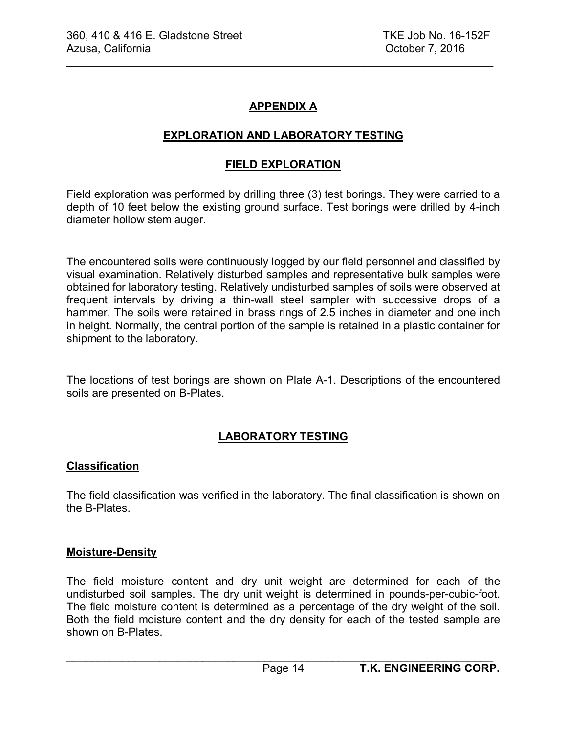# **APPENDIX A**

 $\mathcal{L}_\text{max} = \mathcal{L}_\text{max} = \mathcal{L}_\text{max} = \mathcal{L}_\text{max} = \mathcal{L}_\text{max} = \mathcal{L}_\text{max} = \mathcal{L}_\text{max} = \mathcal{L}_\text{max} = \mathcal{L}_\text{max} = \mathcal{L}_\text{max} = \mathcal{L}_\text{max} = \mathcal{L}_\text{max} = \mathcal{L}_\text{max} = \mathcal{L}_\text{max} = \mathcal{L}_\text{max} = \mathcal{L}_\text{max} = \mathcal{L}_\text{max} = \mathcal{L}_\text{max} = \mathcal{$ 

# **EXPLORATION AND LABORATORY TESTING**

### **FIELD EXPLORATION**

Field exploration was performed by drilling three (3) test borings. They were carried to a depth of 10 feet below the existing ground surface. Test borings were drilled by 4-inch diameter hollow stem auger.

The encountered soils were continuously logged by our field personnel and classified by visual examination. Relatively disturbed samples and representative bulk samples were obtained for laboratory testing. Relatively undisturbed samples of soils were observed at frequent intervals by driving a thin-wall steel sampler with successive drops of a hammer. The soils were retained in brass rings of 2.5 inches in diameter and one inch in height. Normally, the central portion of the sample is retained in a plastic container for shipment to the laboratory.

The locations of test borings are shown on Plate A-1. Descriptions of the encountered soils are presented on B-Plates.

# **LABORATORY TESTING**

#### **Classification**

The field classification was verified in the laboratory. The final classification is shown on the B-Plates.

#### **Moisture-Density**

The field moisture content and dry unit weight are determined for each of the undisturbed soil samples. The dry unit weight is determined in pounds-per-cubic-foot. The field moisture content is determined as a percentage of the dry weight of the soil. Both the field moisture content and the dry density for each of the tested sample are shown on B-Plates.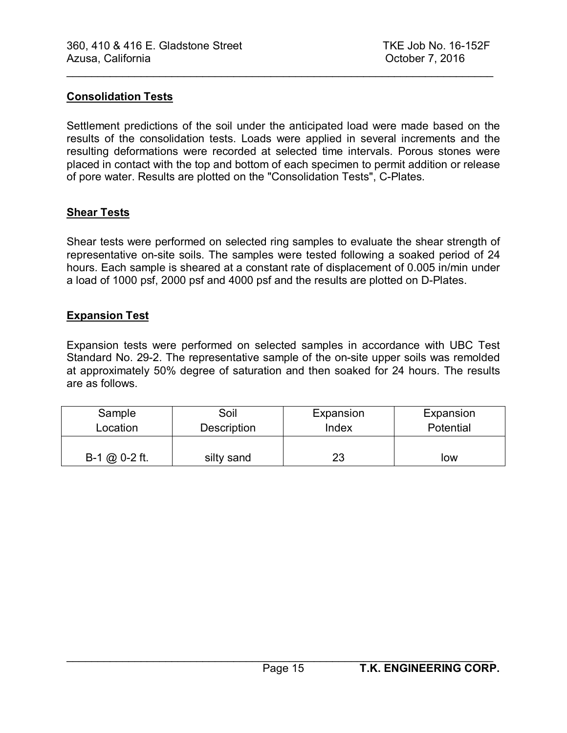#### **Consolidation Tests**

Settlement predictions of the soil under the anticipated load were made based on the results of the consolidation tests. Loads were applied in several increments and the resulting deformations were recorded at selected time intervals. Porous stones were placed in contact with the top and bottom of each specimen to permit addition or release of pore water. Results are plotted on the "Consolidation Tests", C-Plates.

 $\_$ 

### **Shear Tests**

Shear tests were performed on selected ring samples to evaluate the shear strength of representative on-site soils. The samples were tested following a soaked period of 24 hours. Each sample is sheared at a constant rate of displacement of 0.005 in/min under a load of 1000 psf, 2000 psf and 4000 psf and the results are plotted on D-Plates.

### **Expansion Test**

Expansion tests were performed on selected samples in accordance with UBC Test Standard No. 29-2. The representative sample of the on-site upper soils was remolded at approximately 50% degree of saturation and then soaked for 24 hours. The results are as follows.

| Sample          | Soil               | Expansion | Expansion |
|-----------------|--------------------|-----------|-----------|
| Location        | <b>Description</b> | Index     | Potential |
| $B-1$ @ 0-2 ft. | silty sand         | 23        | low       |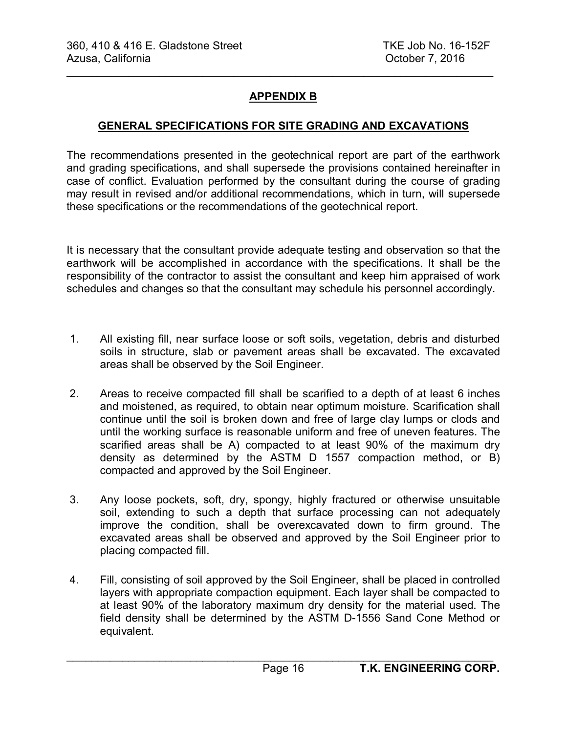# **APPENDIX B**

 $\mathcal{L}_\text{max}$  , and the contract of the contract of the contract of the contract of the contract of the contract of the contract of the contract of the contract of the contract of the contract of the contract of the contr

# **GENERAL SPECIFICATIONS FOR SITE GRADING AND EXCAVATIONS**

The recommendations presented in the geotechnical report are part of the earthwork and grading specifications, and shall supersede the provisions contained hereinafter in case of conflict. Evaluation performed by the consultant during the course of grading may result in revised and/or additional recommendations, which in turn, will supersede these specifications or the recommendations of the geotechnical report.

It is necessary that the consultant provide adequate testing and observation so that the earthwork will be accomplished in accordance with the specifications. It shall be the responsibility of the contractor to assist the consultant and keep him appraised of work schedules and changes so that the consultant may schedule his personnel accordingly.

- 1. All existing fill, near surface loose or soft soils, vegetation, debris and disturbed soils in structure, slab or pavement areas shall be excavated. The excavated areas shall be observed by the Soil Engineer.
- 2. Areas to receive compacted fill shall be scarified to a depth of at least 6 inches and moistened, as required, to obtain near optimum moisture. Scarification shall continue until the soil is broken down and free of large clay lumps or clods and until the working surface is reasonable uniform and free of uneven features. The scarified areas shall be A) compacted to at least 90% of the maximum dry density as determined by the ASTM D 1557 compaction method, or B) compacted and approved by the Soil Engineer.
- 3. Any loose pockets, soft, dry, spongy, highly fractured or otherwise unsuitable soil, extending to such a depth that surface processing can not adequately improve the condition, shall be overexcavated down to firm ground. The excavated areas shall be observed and approved by the Soil Engineer prior to placing compacted fill.
- 4. Fill, consisting of soil approved by the Soil Engineer, shall be placed in controlled layers with appropriate compaction equipment. Each layer shall be compacted to at least 90% of the laboratory maximum dry density for the material used. The field density shall be determined by the ASTM D-1556 Sand Cone Method or equivalent.